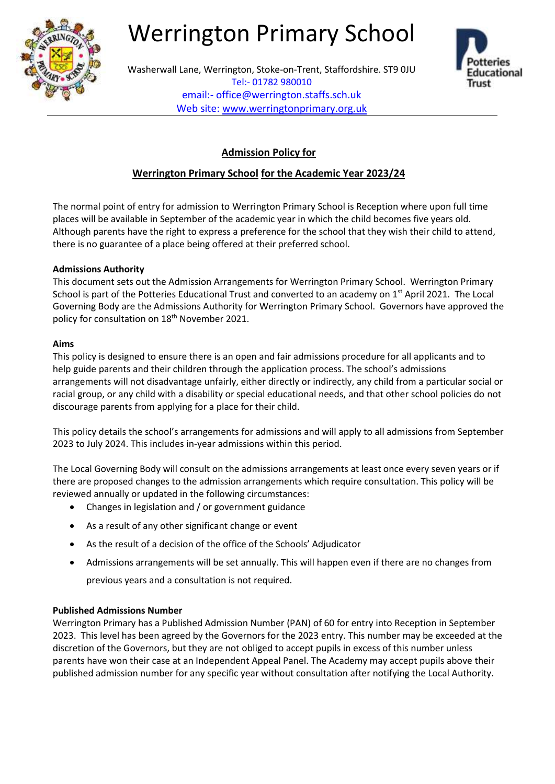

# Werrington Primary School



Washerwall Lane, Werrington, Stoke-on-Trent, Staffordshire. ST9 0JU Tel:- 01782 980010 email:- office@werrington.staffs.sch.uk Web site: [www.werringtonprimary.org.uk](http://www.werringtonprimary.org.uk/)

# **Admission Policy for**

# **Werrington Primary School for the Academic Year 2023/24**

The normal point of entry for admission to Werrington Primary School is Reception where upon full time places will be available in September of the academic year in which the child becomes five years old. Although parents have the right to express a preference for the school that they wish their child to attend, there is no guarantee of a place being offered at their preferred school.

# **Admissions Authority**

This document sets out the Admission Arrangements for Werrington Primary School. Werrington Primary School is part of the Potteries Educational Trust and converted to an academy on 1<sup>st</sup> April 2021. The Local Governing Body are the Admissions Authority for Werrington Primary School. Governors have approved the policy for consultation on 18<sup>th</sup> November 2021.

### **Aims**

This policy is designed to ensure there is an open and fair admissions procedure for all applicants and to help guide parents and their children through the application process. The school's admissions arrangements will not disadvantage unfairly, either directly or indirectly, any child from a particular social or racial group, or any child with a disability or special educational needs, and that other school policies do not discourage parents from applying for a place for their child.

This policy details the school's arrangements for admissions and will apply to all admissions from September 2023 to July 2024. This includes in-year admissions within this period.

The Local Governing Body will consult on the admissions arrangements at least once every seven years or if there are proposed changes to the admission arrangements which require consultation. This policy will be reviewed annually or updated in the following circumstances:

- Changes in legislation and / or government guidance
- As a result of any other significant change or event
- As the result of a decision of the office of the Schools' Adjudicator
- Admissions arrangements will be set annually. This will happen even if there are no changes from previous years and a consultation is not required.

# **Published Admissions Number**

Werrington Primary has a Published Admission Number (PAN) of 60 for entry into Reception in September 2023. This level has been agreed by the Governors for the 2023 entry. This number may be exceeded at the discretion of the Governors, but they are not obliged to accept pupils in excess of this number unless parents have won their case at an Independent Appeal Panel. The Academy may accept pupils above their published admission number for any specific year without consultation after notifying the Local Authority.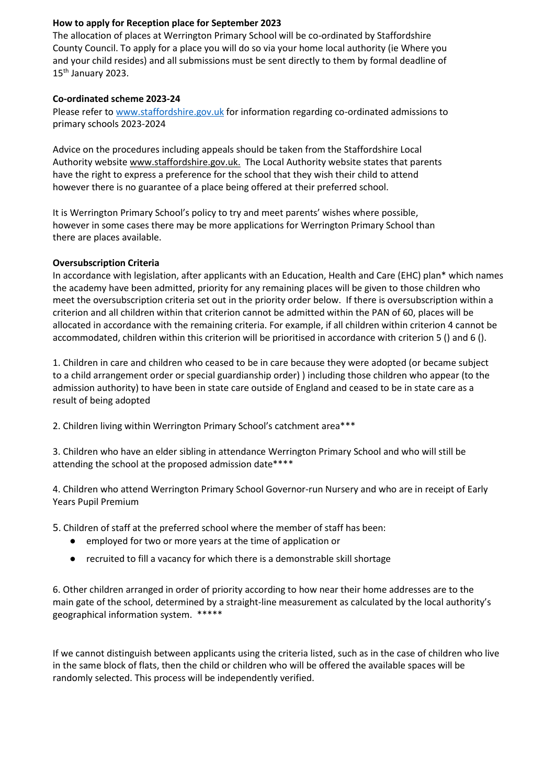## **How to apply for Reception place for September 2023**

The allocation of places at Werrington Primary School will be co-ordinated by Staffordshire County Council. To apply for a place you will do so via your home local authority (ie Where you and your child resides) and all submissions must be sent directly to them by formal deadline of  $15<sup>th</sup>$  January 2023.

#### **Co-ordinated scheme 2023-24**

Please refer to www.staffordshire.gov.uk for information regarding co-ordinated admissions to primary schools 2023-2024

Advice on the procedures including appeals should be taken from the Staffordshire Local Authority website www.staffordshire.gov.uk. The Local Authority website states that parents have the right to express a preference for the school that they wish their child to attend however there is no guarantee of a place being offered at their preferred school.

It is Werrington Primary School's policy to try and meet parents' wishes where possible, however in some cases there may be more applications for Werrington Primary School than there are places available.

#### **Oversubscription Criteria**

In accordance with legislation, after applicants with an Education, Health and Care (EHC) plan\* which names the academy have been admitted, priority for any remaining places will be given to those children who meet the oversubscription criteria set out in the priority order below. If there is oversubscription within a criterion and all children within that criterion cannot be admitted within the PAN of 60, places will be allocated in accordance with the remaining criteria. For example, if all children within criterion 4 cannot be accommodated, children within this criterion will be prioritised in accordance with criterion 5 () and 6 ().

1. Children in care and children who ceased to be in care because they were adopted (or became subject to a child arrangement order or special guardianship order) ) including those children who appear (to the admission authority) to have been in state care outside of England and ceased to be in state care as a result of being adopted

2. Children living within Werrington Primary School's catchment area\*\*\*

3. Children who have an elder sibling in attendance Werrington Primary School and who will still be attending the school at the proposed admission date\*\*\*\*

4. Children who attend Werrington Primary School Governor-run Nursery and who are in receipt of Early Years Pupil Premium

5. Children of staff at the preferred school where the member of staff has been:

- employed for two or more years at the time of application or
- recruited to fill a vacancy for which there is a demonstrable skill shortage

6. Other children arranged in order of priority according to how near their home addresses are to the main gate of the school, determined by a straight-line measurement as calculated by the local authority's geographical information system. \*\*\*\*\*

If we cannot distinguish between applicants using the criteria listed, such as in the case of children who live in the same block of flats, then the child or children who will be offered the available spaces will be randomly selected. This process will be independently verified.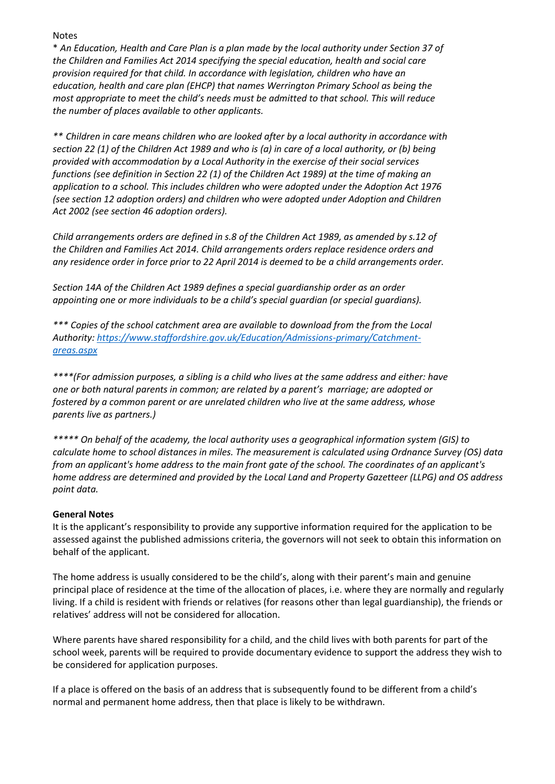Notes

\* *An Education, Health and Care Plan is a plan made by the local authority under Section 37 of the Children and Families Act 2014 specifying the special education, health and social care provision required for that child. In accordance with legislation, children who have an education, health and care plan (EHCP) that names Werrington Primary School as being the most appropriate to meet the child's needs must be admitted to that school. This will reduce the number of places available to other applicants.*

*\*\* Children in care means children who are looked after by a local authority in accordance with section 22 (1) of the Children Act 1989 and who is (a) in care of a local authority, or (b) being provided with accommodation by a Local Authority in the exercise of their social services functions (see definition in Section 22 (1) of the Children Act 1989) at the time of making an application to a school. This includes children who were adopted under the Adoption Act 1976 (see section 12 adoption orders) and children who were adopted under Adoption and Children Act 2002 (see section 46 adoption orders).*

*Child arrangements orders are defined in s.8 of the Children Act 1989, as amended by s.12 of the Children and Families Act 2014. Child arrangements orders replace residence orders and any residence order in force prior to 22 April 2014 is deemed to be a child arrangements order.*

*Section 14A of the Children Act 1989 defines a special guardianship order as an order appointing one or more individuals to be a child's special guardian (or special guardians).*

*\*\*\* Copies of the school catchment area are available to download from the from the Local Authority: [https://www.staffordshire.gov.uk/Education/Admissions-primary/Catchment](https://www.staffordshire.gov.uk/Education/Admissions-primary/Catchment-areas.aspx)[areas.aspx](https://www.staffordshire.gov.uk/Education/Admissions-primary/Catchment-areas.aspx)*

*\*\*\*\*(For admission purposes, a sibling is a child who lives at the same address and either: have one or both natural parents in common; are related by a parent's marriage; are adopted or fostered by a common parent or are unrelated children who live at the same address, whose parents live as partners.)* 

*\*\*\*\*\* On behalf of the academy, the local authority uses a geographical information system (GIS) to calculate home to school distances in miles. The measurement is calculated using Ordnance Survey (OS) data from an applicant's home address to the main front gate of the school. The coordinates of an applicant's home address are determined and provided by the Local Land and Property Gazetteer (LLPG) and OS address point data.*

# **General Notes**

It is the applicant's responsibility to provide any supportive information required for the application to be assessed against the published admissions criteria, the governors will not seek to obtain this information on behalf of the applicant.

The home address is usually considered to be the child's, along with their parent's main and genuine principal place of residence at the time of the allocation of places, i.e. where they are normally and regularly living. If a child is resident with friends or relatives (for reasons other than legal guardianship), the friends or relatives' address will not be considered for allocation.

Where parents have shared responsibility for a child, and the child lives with both parents for part of the school week, parents will be required to provide documentary evidence to support the address they wish to be considered for application purposes.

If a place is offered on the basis of an address that is subsequently found to be different from a child's normal and permanent home address, then that place is likely to be withdrawn.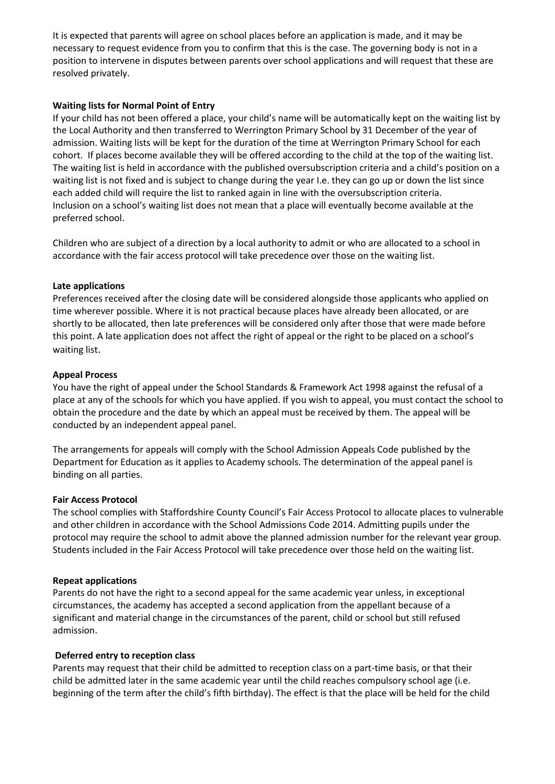It is expected that parents will agree on school places before an application is made, and it may be necessary to request evidence from you to confirm that this is the case. The governing body is not in a position to intervene in disputes between parents over school applications and will request that these are resolved privately.

### **Waiting lists for Normal Point of Entry**

If your child has not been offered a place, your child's name will be automatically kept on the waiting list by the Local Authority and then transferred to Werrington Primary School by 31 December of the year of admission. Waiting lists will be kept for the duration of the time at Werrington Primary School for each cohort. If places become available they will be offered according to the child at the top of the waiting list. The waiting list is held in accordance with the published oversubscription criteria and a child's position on a waiting list is not fixed and is subject to change during the year I.e. they can go up or down the list since each added child will require the list to ranked again in line with the oversubscription criteria. Inclusion on a school's waiting list does not mean that a place will eventually become available at the preferred school.

Children who are subject of a direction by a local authority to admit or who are allocated to a school in accordance with the fair access protocol will take precedence over those on the waiting list.

### **Late applications**

Preferences received after the closing date will be considered alongside those applicants who applied on time wherever possible. Where it is not practical because places have already been allocated, or are shortly to be allocated, then late preferences will be considered only after those that were made before this point. A late application does not affect the right of appeal or the right to be placed on a school's waiting list.

### **Appeal Process**

You have the right of appeal under the School Standards & Framework Act 1998 against the refusal of a place at any of the schools for which you have applied. If you wish to appeal, you must contact the school to obtain the procedure and the date by which an appeal must be received by them. The appeal will be conducted by an independent appeal panel.

The arrangements for appeals will comply with the School Admission Appeals Code published by the Department for Education as it applies to Academy schools. The determination of the appeal panel is binding on all parties.

#### **Fair Access Protocol**

The school complies with Staffordshire County Council's Fair Access Protocol to allocate places to vulnerable and other children in accordance with the School Admissions Code 2014. Admitting pupils under the protocol may require the school to admit above the planned admission number for the relevant year group. Students included in the Fair Access Protocol will take precedence over those held on the waiting list.

#### **Repeat applications**

Parents do not have the right to a second appeal for the same academic year unless, in exceptional circumstances, the academy has accepted a second application from the appellant because of a significant and material change in the circumstances of the parent, child or school but still refused admission.

#### **Deferred entry to reception class**

Parents may request that their child be admitted to reception class on a part-time basis, or that their child be admitted later in the same academic year until the child reaches compulsory school age (i.e. beginning of the term after the child's fifth birthday). The effect is that the place will be held for the child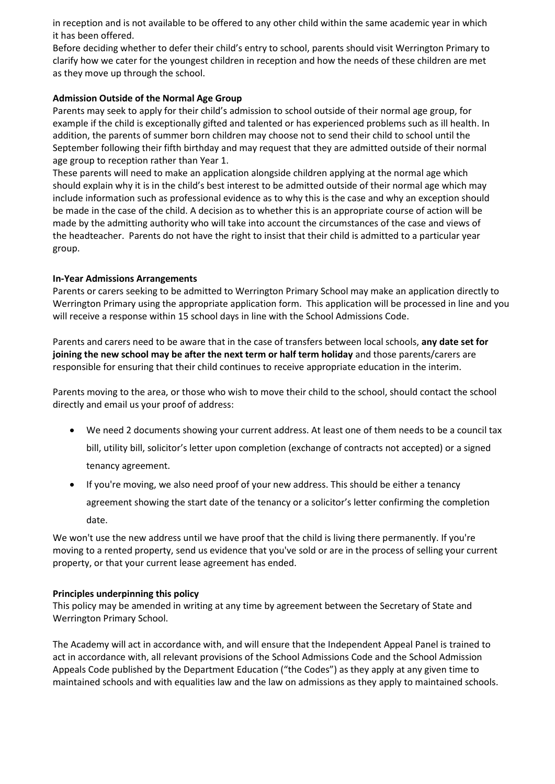in reception and is not available to be offered to any other child within the same academic year in which it has been offered.

Before deciding whether to defer their child's entry to school, parents should visit Werrington Primary to clarify how we cater for the youngest children in reception and how the needs of these children are met as they move up through the school.

## **Admission Outside of the Normal Age Group**

Parents may seek to apply for their child's admission to school outside of their normal age group, for example if the child is exceptionally gifted and talented or has experienced problems such as ill health. In addition, the parents of summer born children may choose not to send their child to school until the September following their fifth birthday and may request that they are admitted outside of their normal age group to reception rather than Year 1.

These parents will need to make an application alongside children applying at the normal age which should explain why it is in the child's best interest to be admitted outside of their normal age which may include information such as professional evidence as to why this is the case and why an exception should be made in the case of the child. A decision as to whether this is an appropriate course of action will be made by the admitting authority who will take into account the circumstances of the case and views of the headteacher. Parents do not have the right to insist that their child is admitted to a particular year group.

#### **In-Year Admissions Arrangements**

Parents or carers seeking to be admitted to Werrington Primary School may make an application directly to Werrington Primary using the appropriate application form. This application will be processed in line and you will receive a response within 15 school days in line with the School Admissions Code.

Parents and carers need to be aware that in the case of transfers between local schools, **any date set for joining the new school may be after the next term or half term holiday** and those parents/carers are responsible for ensuring that their child continues to receive appropriate education in the interim.

Parents moving to the area, or those who wish to move their child to the school, should contact the school directly and email us your proof of address:

- We need 2 documents showing your current address. At least one of them needs to be a council tax bill, utility bill, solicitor's letter upon completion (exchange of contracts not accepted) or a signed tenancy agreement.
- If you're moving, we also need proof of your new address. This should be either a tenancy agreement showing the start date of the tenancy or a solicitor's letter confirming the completion date.

We won't use the new address until we have proof that the child is living there permanently. If you're moving to a rented property, send us evidence that you've sold or are in the process of selling your current property, or that your current lease agreement has ended.

# **Principles underpinning this policy**

This policy may be amended in writing at any time by agreement between the Secretary of State and Werrington Primary School.

The Academy will act in accordance with, and will ensure that the Independent Appeal Panel is trained to act in accordance with, all relevant provisions of the School Admissions Code and the School Admission Appeals Code published by the Department Education ("the Codes") as they apply at any given time to maintained schools and with equalities law and the law on admissions as they apply to maintained schools.